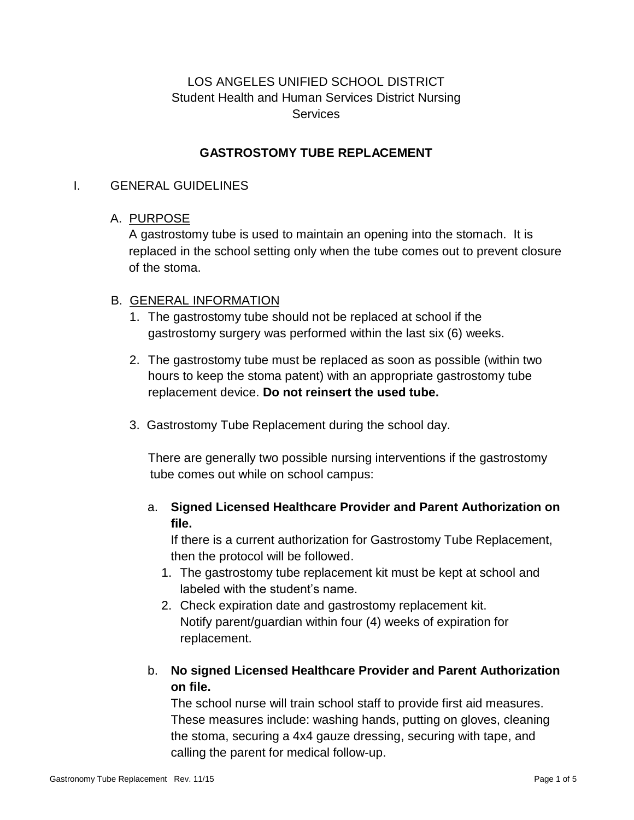# LOS ANGELES UNIFIED SCHOOL DISTRICT Student Health and Human Services District Nursing **Services**

### **GASTROSTOMY TUBE REPLACEMENT**

#### I. GENERAL GUIDELINES

### A. PURPOSE

A gastrostomy tube is used to maintain an opening into the stomach. It is replaced in the school setting only when the tube comes out to prevent closure of the stoma.

### B. GENERAL INFORMATION

- 1. The gastrostomy tube should not be replaced at school if the gastrostomy surgery was performed within the last six (6) weeks.
- 2. The gastrostomy tube must be replaced as soon as possible (within two hours to keep the stoma patent) with an appropriate gastrostomy tube replacement device. **Do not reinsert the used tube.**
- 3. Gastrostomy Tube Replacement during the school day.

There are generally two possible nursing interventions if the gastrostomy tube comes out while on school campus:

## a. **Signed Licensed Healthcare Provider and Parent Authorization on file.**

If there is a current authorization for Gastrostomy Tube Replacement, then the protocol will be followed.

- 1. The gastrostomy tube replacement kit must be kept at school and labeled with the student's name.
- 2. Check expiration date and gastrostomy replacement kit. Notify parent/guardian within four (4) weeks of expiration for replacement.
- b. **No signed Licensed Healthcare Provider and Parent Authorization on file.**

The school nurse will train school staff to provide first aid measures. These measures include: washing hands, putting on gloves, cleaning the stoma, securing a 4x4 gauze dressing, securing with tape, and calling the parent for medical follow-up.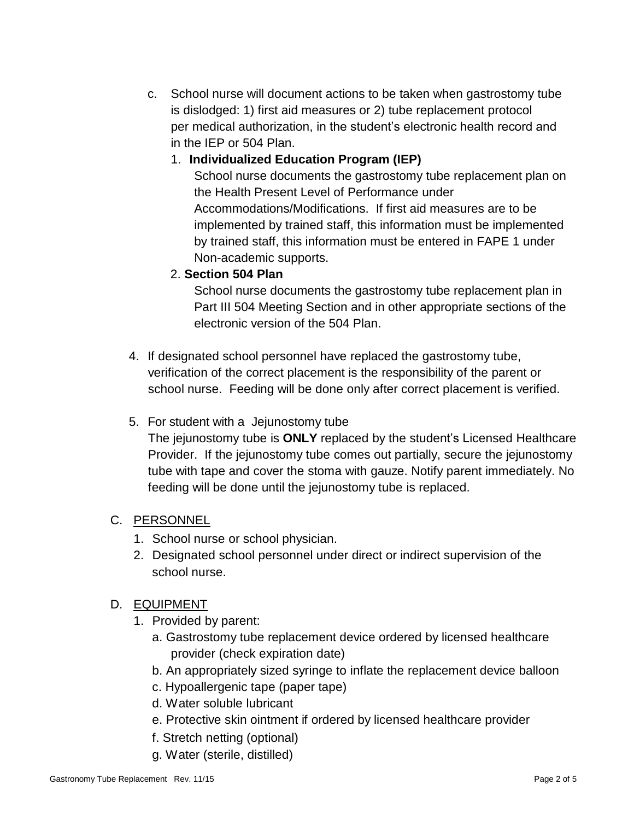c. School nurse will document actions to be taken when gastrostomy tube is dislodged: 1) first aid measures or 2) tube replacement protocol per medical authorization, in the student's electronic health record and in the IEP or 504 Plan.

## 1. **Individualized Education Program (IEP)**

School nurse documents the gastrostomy tube replacement plan on the Health Present Level of Performance under Accommodations/Modifications. If first aid measures are to be implemented by trained staff, this information must be implemented by trained staff, this information must be entered in FAPE 1 under Non-academic supports.

## 2. **Section 504 Plan**

School nurse documents the gastrostomy tube replacement plan in Part III 504 Meeting Section and in other appropriate sections of the electronic version of the 504 Plan.

4. If designated school personnel have replaced the gastrostomy tube, verification of the correct placement is the responsibility of the parent or school nurse. Feeding will be done only after correct placement is verified.

# 5. For student with a Jejunostomy tube

The jejunostomy tube is **ONLY** replaced by the student's Licensed Healthcare Provider. If the jejunostomy tube comes out partially, secure the jejunostomy tube with tape and cover the stoma with gauze. Notify parent immediately. No feeding will be done until the jejunostomy tube is replaced.

# C. PERSONNEL

- 1. School nurse or school physician.
- 2. Designated school personnel under direct or indirect supervision of the school nurse.

# D. EQUIPMENT

- 1. Provided by parent:
	- a. Gastrostomy tube replacement device ordered by licensed healthcare provider (check expiration date)
	- b. An appropriately sized syringe to inflate the replacement device balloon
	- c. Hypoallergenic tape (paper tape)
	- d. Water soluble lubricant
	- e. Protective skin ointment if ordered by licensed healthcare provider
	- f. Stretch netting (optional)
	- g. Water (sterile, distilled)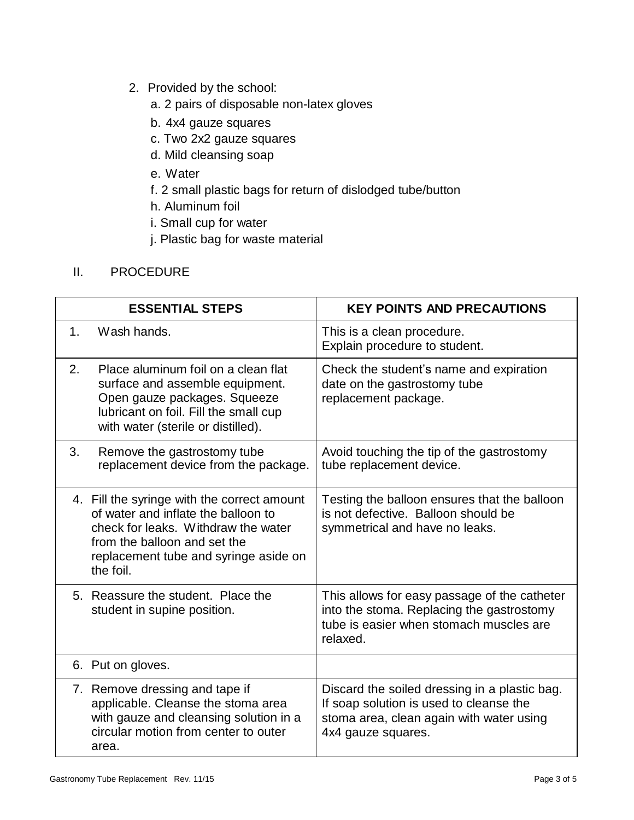- 2. Provided by the school:
	- a. 2 pairs of disposable non-latex gloves
	- b. 4x4 gauze squares
	- c. Two 2x2 gauze squares
	- d. Mild cleansing soap
	- e. Water
	- f. 2 small plastic bags for return of dislodged tube/button
	- h. Aluminum foil
	- i. Small cup for water
	- j. Plastic bag for waste material

### II. PROCEDURE

| <b>ESSENTIAL STEPS</b> |                                                                                                                                                                                                                 | <b>KEY POINTS AND PRECAUTIONS</b>                                                                                                                          |
|------------------------|-----------------------------------------------------------------------------------------------------------------------------------------------------------------------------------------------------------------|------------------------------------------------------------------------------------------------------------------------------------------------------------|
| $1_{-}$                | Wash hands.                                                                                                                                                                                                     | This is a clean procedure.<br>Explain procedure to student.                                                                                                |
| 2.                     | Place aluminum foil on a clean flat<br>surface and assemble equipment.<br>Open gauze packages. Squeeze<br>lubricant on foil. Fill the small cup<br>with water (sterile or distilled).                           | Check the student's name and expiration<br>date on the gastrostomy tube<br>replacement package.                                                            |
| 3.                     | Remove the gastrostomy tube<br>replacement device from the package.                                                                                                                                             | Avoid touching the tip of the gastrostomy<br>tube replacement device.                                                                                      |
|                        | 4. Fill the syringe with the correct amount<br>of water and inflate the balloon to<br>check for leaks. Withdraw the water<br>from the balloon and set the<br>replacement tube and syringe aside on<br>the foil. | Testing the balloon ensures that the balloon<br>is not defective. Balloon should be<br>symmetrical and have no leaks.                                      |
|                        | 5. Reassure the student. Place the<br>student in supine position.                                                                                                                                               | This allows for easy passage of the catheter<br>into the stoma. Replacing the gastrostomy<br>tube is easier when stomach muscles are<br>relaxed.           |
|                        | 6. Put on gloves.                                                                                                                                                                                               |                                                                                                                                                            |
|                        | 7. Remove dressing and tape if<br>applicable. Cleanse the stoma area<br>with gauze and cleansing solution in a<br>circular motion from center to outer<br>area.                                                 | Discard the soiled dressing in a plastic bag.<br>If soap solution is used to cleanse the<br>stoma area, clean again with water using<br>4x4 gauze squares. |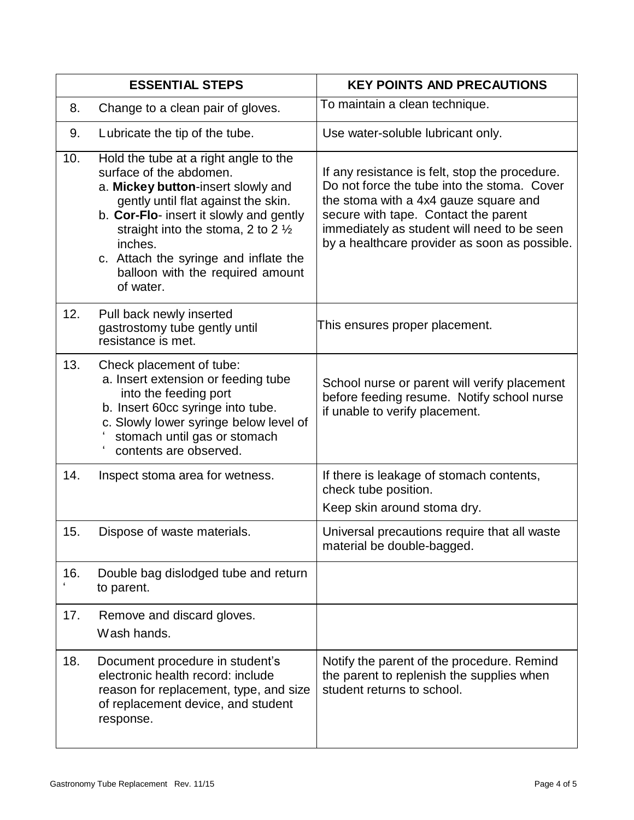| <b>ESSENTIAL STEPS</b>  |                                                                                                                                                                                                                                                                                                                                                | <b>KEY POINTS AND PRECAUTIONS</b>                                                                                                                                                                                                                                              |
|-------------------------|------------------------------------------------------------------------------------------------------------------------------------------------------------------------------------------------------------------------------------------------------------------------------------------------------------------------------------------------|--------------------------------------------------------------------------------------------------------------------------------------------------------------------------------------------------------------------------------------------------------------------------------|
| 8.                      | Change to a clean pair of gloves.                                                                                                                                                                                                                                                                                                              | To maintain a clean technique.                                                                                                                                                                                                                                                 |
| 9.                      | Lubricate the tip of the tube.                                                                                                                                                                                                                                                                                                                 | Use water-soluble lubricant only.                                                                                                                                                                                                                                              |
| 10.                     | Hold the tube at a right angle to the<br>surface of the abdomen.<br>a. Mickey button-insert slowly and<br>gently until flat against the skin.<br>b. Cor-Flo- insert it slowly and gently<br>straight into the stoma, 2 to 2 $\frac{1}{2}$<br>inches.<br>c. Attach the syringe and inflate the<br>balloon with the required amount<br>of water. | If any resistance is felt, stop the procedure.<br>Do not force the tube into the stoma. Cover<br>the stoma with a 4x4 gauze square and<br>secure with tape. Contact the parent<br>immediately as student will need to be seen<br>by a healthcare provider as soon as possible. |
| 12.                     | Pull back newly inserted<br>gastrostomy tube gently until<br>resistance is met.                                                                                                                                                                                                                                                                | This ensures proper placement.                                                                                                                                                                                                                                                 |
| 13.                     | Check placement of tube:<br>a. Insert extension or feeding tube<br>into the feeding port<br>b. Insert 60cc syringe into tube.<br>c. Slowly lower syringe below level of<br>stomach until gas or stomach<br>contents are observed.                                                                                                              | School nurse or parent will verify placement<br>before feeding resume. Notify school nurse<br>if unable to verify placement.                                                                                                                                                   |
| 14.                     | Inspect stoma area for wetness.                                                                                                                                                                                                                                                                                                                | If there is leakage of stomach contents,<br>check tube position.<br>Keep skin around stoma dry.                                                                                                                                                                                |
| 15.                     | Dispose of waste materials.                                                                                                                                                                                                                                                                                                                    | Universal precautions require that all waste<br>material be double-bagged.                                                                                                                                                                                                     |
| 16.<br>$\pmb{\epsilon}$ | Double bag dislodged tube and return<br>to parent.                                                                                                                                                                                                                                                                                             |                                                                                                                                                                                                                                                                                |
| 17.                     | Remove and discard gloves.<br>Wash hands.                                                                                                                                                                                                                                                                                                      |                                                                                                                                                                                                                                                                                |
| 18.                     | Document procedure in student's<br>electronic health record: include<br>reason for replacement, type, and size<br>of replacement device, and student<br>response.                                                                                                                                                                              | Notify the parent of the procedure. Remind<br>the parent to replenish the supplies when<br>student returns to school.                                                                                                                                                          |